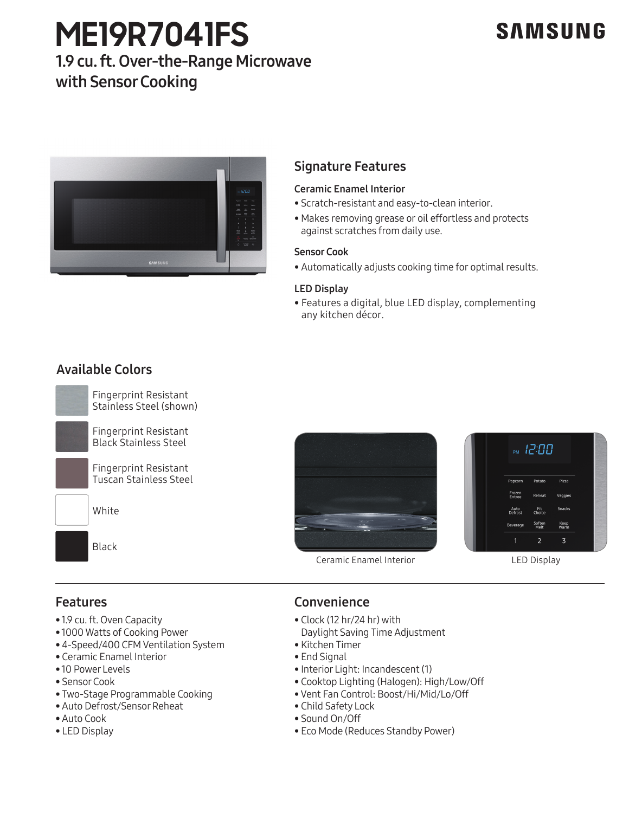# **ME19R7041FS**

# **SAMSUNG**

# 1.9 cu. ft. Over-the-Range Microwave with Sensor Cooking



## Signature Features

### Ceramic Enamel Interior

- Scratch-resistant and easy-to-clean interior.
- Makes removing grease or oil effortless and protects against scratches from daily use.

#### Sensor Cook

• Automatically adjusts cooking time for optimal results.

#### LED Display

• Features a digital, blue LED display, complementing any kitchen décor.

# Available Colors station in the station of the station of the steel of the steel of the steel of the steel of the steel of the s<br>Steel of the steel of the steel of the steel of the steel of the steel of the steel of the steel of the steel







Ceramic Enamel Interior

LED Display

# Features

- 1.9 cu. ft. Oven Capacity
- 1.9 cu. ft. Oven Capacity<br>• 1000 Watts of Cooking Power
- 4-Speed/400 CFM Ventilation System
- Ceramic Enamel Interior<br>• Ceramic Enamel Interior<br>• 10 Power Levels
- 10 Power Levels
- Sensor Cook
- Two-Stage Programmable Cooking
- Auto Defrost/Sensor Reheat
- Auto Cook
- LED Display

# Convenience

- Clock (12 hr/24 hr) with Daylight Saving Time Adjustment
- Kitchen Timer
- End Signal
- Interior Light: Incandescent (1)
- Cooktop Lighting (Halogen): High/Low/Off
- Vent Fan Control: Boost/Hi/Mid/Lo/Off
- Child Safety Lock
- Sound On/Off
- Eco Mode (Reduces Standby Power)